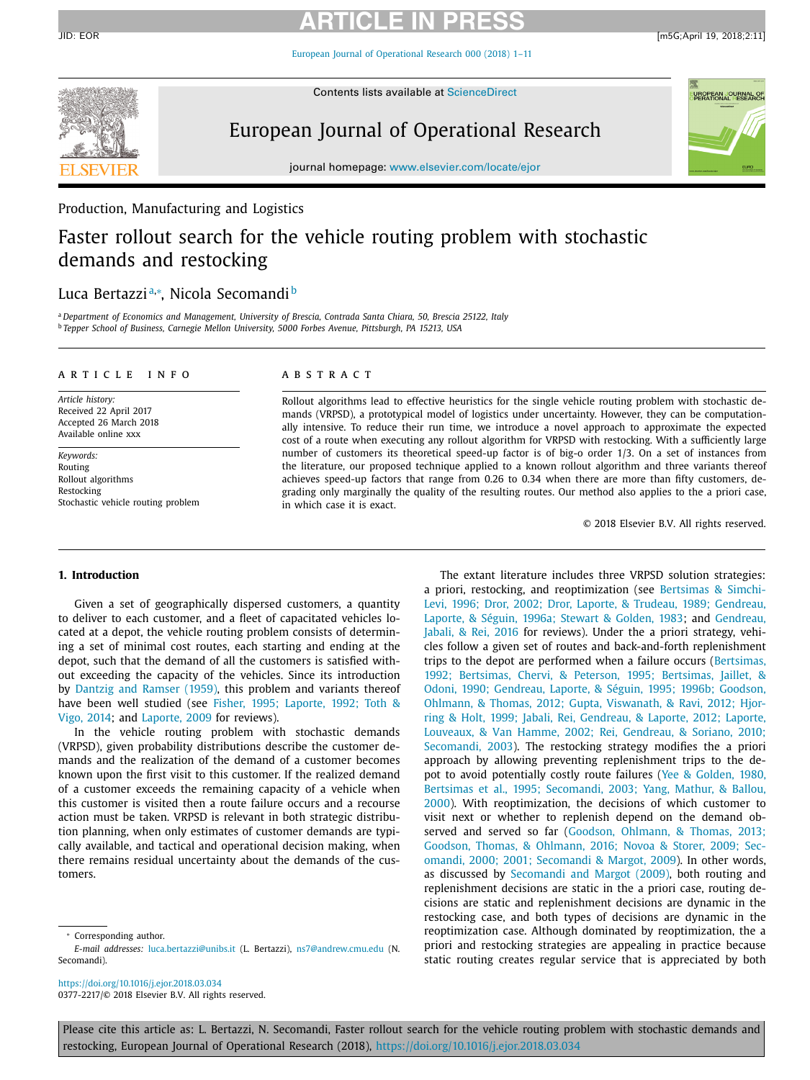### **ARTICLE IN PRESS** JID: EOR [m5G;April 19, 2018;2:11]

European Journal of [Operational](https://doi.org/10.1016/j.ejor.2018.03.034) Research 000 (2018) 1–11



Contents lists available at [ScienceDirect](http://www.ScienceDirect.com)

# European Journal of Operational Research



journal homepage: [www.elsevier.com/locate/ejor](http://www.elsevier.com/locate/ejor)

## Production, Manufacturing and Logistics

# Faster rollout search for the vehicle routing problem with stochastic demands and restocking

# Luca Bertazzi™, Nicola Secomandi b

<sup>a</sup> *Department of Economics and Management, University of Brescia, Contrada Santa Chiara, 50, Brescia 25122, Italy* <sup>b</sup> *Tepper School of Business, Carnegie Mellon University, 5000 Forbes Avenue, Pittsburgh, PA 15213, USA*

#### a r t i c l e i n f o

*Article history:* Received 22 April 2017 Accepted 26 March 2018 Available online xxx

*Keywords:* Routing Rollout algorithms Restocking Stochastic vehicle routing problem

### A B S T R A C T

Rollout algorithms lead to effective heuristics for the single vehicle routing problem with stochastic demands (VRPSD), a prototypical model of logistics under uncertainty. However, they can be computationally intensive. To reduce their run time, we introduce a novel approach to approximate the expected cost of a route when executing any rollout algorithm for VRPSD with restocking. With a sufficiently large number of customers its theoretical speed-up factor is of big-o order 1/3. On a set of instances from the literature, our proposed technique applied to a known rollout algorithm and three variants thereof achieves speed-up factors that range from 0.26 to 0.34 when there are more than fifty customers, degrading only marginally the quality of the resulting routes. Our method also applies to the a priori case, in which case it is exact.

© 2018 Elsevier B.V. All rights reserved.

#### **1. Introduction**

Given a set of geographically dispersed customers, a quantity to deliver to each customer, and a fleet of capacitated vehicles located at a depot, the vehicle routing problem consists of determining a set of minimal cost routes, each starting and ending at the depot, such that the demand of all the customers is satisfied without exceeding the capacity of the vehicles. Since its introduction by [Dantzig](#page--1-0) and Ramser (1959), this problem and variants thereof have been well studied (see Fisher, 1995; Laporte, 1992; Toth & Vigo, 2014; and [Laporte,](#page--1-0) 2009 for [reviews\).](#page--1-0)

In the vehicle routing problem with stochastic demands (VRPSD), given probability distributions describe the customer demands and the realization of the demand of a customer becomes known upon the first visit to this customer. If the realized demand of a customer exceeds the remaining capacity of a vehicle when this customer is visited then a route failure occurs and a recourse action must be taken. VRPSD is relevant in both strategic distribution planning, when only estimates of customer demands are typically available, and tactical and operational decision making, when there remains residual uncertainty about the demands of the customers.

<https://doi.org/10.1016/j.ejor.2018.03.034> 0377-2217/© 2018 Elsevier B.V. All rights reserved.

The extant literature includes three VRPSD solution strategies: a priori, restocking, and [reoptimization](#page--1-0) (see Bertsimas & Simchi-Levi, 1996; Dror, 2002; Dror, Laporte, & Trudeau, 1989; Gendreau, Laporte, & Séguin, 1996a; Stewart & Golden, 1983; and [Gendreau,](#page--1-0) Jabali, & Rei, 2016 for reviews). Under the a priori strategy, vehicles follow a given set of routes and back-and-forth replenishment trips to the depot are performed when a failure occurs (Bertsimas, 1992; Bertsimas, Chervi, & Peterson, 1995; Bertsimas, Jaillet, & Odoni, 1990; Gendreau, Laporte, & Séguin, 1995; 1996b; Goodson, Ohlmann, & Thomas, 2012; Gupta, Viswanath, & Ravi, 2012; Hjorring & Holt, 1999; Jabali, Rei, Gendreau, & Laporte, 2012; Laporte, Louveaux, & Van Hamme, 2002; Rei, Gendreau, & Soriano, 2010; [Secomandi,](#page--1-0) 2003). The restocking strategy modifies the a priori approach by allowing preventing replenishment trips to the depot to avoid potentially costly route failures (Yee & Golden, 1980, Bertsimas et al., 1995; Secomandi, 2003; Yang, Mathur, & Ballou, 2000). With [reoptimization,](#page--1-0) the decisions of which customer to visit next or whether to replenish depend on the demand observed and served so far (Goodson, Ohlmann, & Thomas, 2013; Goodson, Thomas, & Ohlmann, 2016; Novoa & Storer, 2009; Secomandi, 2000; 2001; [Secomandi](#page--1-0) & Margot, 2009). In other words, as discussed by [Secomandi](#page--1-0) and Margot (2009), both routing and replenishment decisions are static in the a priori case, routing decisions are static and replenishment decisions are dynamic in the restocking case, and both types of decisions are dynamic in the reoptimization case. Although dominated by reoptimization, the a priori and restocking strategies are appealing in practice because static routing creates regular service that is appreciated by both

Please cite this article as: L. Bertazzi, N. Secomandi, Faster rollout search for the vehicle routing problem with stochastic demands and restocking, European Journal of Operational Research (2018), <https://doi.org/10.1016/j.ejor.2018.03.034>

Corresponding author.

*E-mail addresses:* [luca.bertazzi@unibs.it](mailto:luca.bertazzi@unibs.it) (L. Bertazzi), [ns7@andrew.cmu.edu](mailto:ns7@andrew.cmu.edu) (N. Secomandi).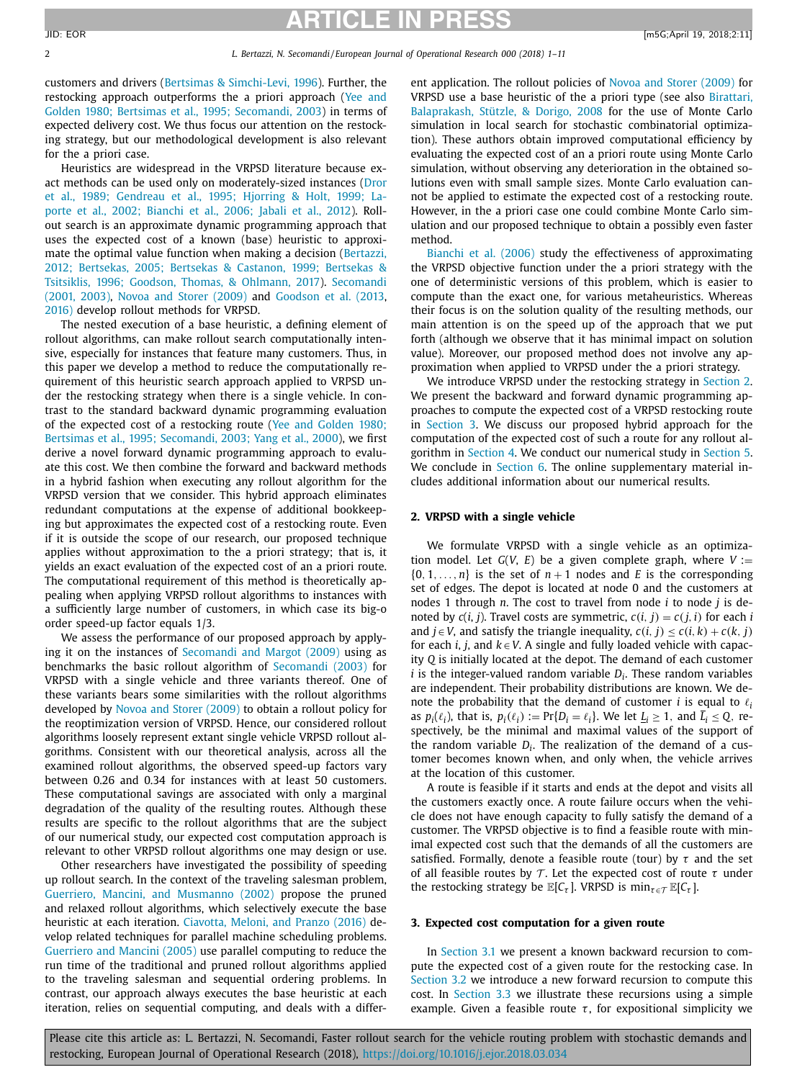### **ARTICLE IN PRESS** JID: EOR [m5G;April 19, 2018;2:11]

customers and drivers (Bertsimas & [Simchi-Levi,](#page--1-0) 1996). Further, the restocking approach [outperforms](#page--1-0) the a priori approach (Yee and Golden 1980; Bertsimas et al., 1995; Secomandi, 2003) in terms of expected delivery cost. We thus focus our attention on the restocking strategy, but our methodological development is also relevant for the a priori case.

Heuristics are widespread in the VRPSD literature because exact methods can be used only on [moderately-sized](#page--1-0) instances (Dror et al., 1989; Gendreau et al., 1995; Hjorring & Holt, 1999; Laporte et al., 2002; Bianchi et al., 2006; Jabali et al., 2012). Rollout search is an approximate dynamic programming approach that uses the expected cost of a known (base) heuristic to approximate the optimal value function when making a decision (Bertazzi, 2012; Bertsekas, 2005; Bertsekas & Castanon, 1999; Bertsekas & Tsitsiklis, 1996; Goodson, Thomas, & Ohlmann, 2017). [Secomandi](#page--1-0) (2001, 2003), Novoa and Storer [\(2009\)](#page--1-0) and [Goodson](#page--1-0) et al. (2013, [2016\)](#page--1-0) develop rollout methods for VRPSD.

The nested execution of a base heuristic, a defining element of rollout algorithms, can make rollout search computationally intensive, especially for instances that feature many customers. Thus, in this paper we develop a method to reduce the computationally requirement of this heuristic search approach applied to VRPSD under the restocking strategy when there is a single vehicle. In contrast to the standard backward dynamic programming evaluation of the expected cost of a restocking route (Yee and Golden 1980; Bertsimas et al., 1995; [Secomandi,](#page--1-0) 2003; Yang et al., 2000), we first derive a novel forward dynamic programming approach to evaluate this cost. We then combine the forward and backward methods in a hybrid fashion when executing any rollout algorithm for the VRPSD version that we consider. This hybrid approach eliminates redundant computations at the expense of additional bookkeeping but approximates the expected cost of a restocking route. Even if it is outside the scope of our research, our proposed technique applies without approximation to the a priori strategy; that is, it yields an exact evaluation of the expected cost of an a priori route. The computational requirement of this method is theoretically appealing when applying VRPSD rollout algorithms to instances with a sufficiently large number of customers, in which case its big-o order speed-up factor equals 1/3.

We assess the performance of our proposed approach by applying it on the instances of [Secomandi](#page--1-0) and Margot (2009) using as benchmarks the basic rollout algorithm of [Secomandi](#page--1-0) (2003) for VRPSD with a single vehicle and three variants thereof. One of these variants bears some similarities with the rollout algorithms developed by Novoa and Storer [\(2009\)](#page--1-0) to obtain a rollout policy for the reoptimization version of VRPSD. Hence, our considered rollout algorithms loosely represent extant single vehicle VRPSD rollout algorithms. Consistent with our theoretical analysis, across all the examined rollout algorithms, the observed speed-up factors vary between 0.26 and 0.34 for instances with at least 50 customers. These computational savings are associated with only a marginal degradation of the quality of the resulting routes. Although these results are specific to the rollout algorithms that are the subject of our numerical study, our expected cost computation approach is relevant to other VRPSD rollout algorithms one may design or use.

Other researchers have investigated the possibility of speeding up rollout search. In the context of the traveling salesman problem, Guerriero, Mancini, and [Musmanno](#page--1-0) (2002) propose the pruned and relaxed rollout algorithms, which selectively execute the base heuristic at each iteration. [Ciavotta,](#page--1-0) Meloni, and Pranzo (2016) develop related techniques for parallel machine scheduling problems. [Guerriero](#page--1-0) and Mancini (2005) use parallel computing to reduce the run time of the traditional and pruned rollout algorithms applied to the traveling salesman and sequential ordering problems. In contrast, our approach always executes the base heuristic at each iteration, relies on sequential computing, and deals with a different application. The rollout policies of Novoa and Storer [\(2009\)](#page--1-0) for VRPSD use a base heuristic of the a priori type (see also Birattari, Balaprakash, Stützle, & Dorigo, 2008 for the [use of Monte Carlo](#page--1-0) simulation in local search for stochastic combinatorial optimization). These authors obtain improved computational efficiency by evaluating the expected cost of an a priori route using Monte Carlo simulation, without observing any deterioration in the obtained solutions even with small sample sizes. Monte Carlo evaluation cannot be applied to estimate the expected cost of a restocking route. However, in the a priori case one could combine Monte Carlo simulation and our proposed technique to obtain a possibly even faster method.

[Bianchi](#page--1-0) et al. (2006) study the effectiveness of approximating the VRPSD objective function under the a priori strategy with the one of deterministic versions of this problem, which is easier to compute than the exact one, for various metaheuristics. Whereas their focus is on the solution quality of the resulting methods, our main attention is on the speed up of the approach that we put forth (although we observe that it has minimal impact on solution value). Moreover, our proposed method does not involve any approximation when applied to VRPSD under the a priori strategy.

We introduce VRPSD under the restocking strategy in Section 2. We present the backward and forward dynamic programming approaches to compute the expected cost of a VRPSD restocking route in Section 3. We discuss our proposed hybrid approach for the computation of the expected cost of such a route for any rollout algorithm in [Section](#page--1-0) 4. We conduct our numerical study in [Section](#page--1-0) 5. We conclude in [Section](#page--1-0) 6. The online supplementary material includes additional information about our numerical results.

#### **2. VRPSD with a single vehicle**

We formulate VRPSD with a single vehicle as an optimization model. Let  $G(V, E)$  be a given complete graph, where  $V :=$  $\{0, 1, \ldots, n\}$  is the set of  $n + 1$  nodes and *E* is the corresponding set of edges. The depot is located at node 0 and the customers at nodes 1 through *n*. The cost to travel from node *i* to node *j* is denoted by  $c(i, j)$ . Travel costs are symmetric,  $c(i, j) = c(j, i)$  for each *i* and *j* ∈ *V*, and satisfy the triangle inequality,  $c(i, j) ≤ c(i, k) + c(k, j)$ for each *i*, *j*, and  $k \in V$ . A single and fully loaded vehicle with capacity *Q* is initially located at the depot. The demand of each customer  $i$  is the integer-valued random variable  $D_i$ . These random variables are independent. Their probability distributions are known. We denote the probability that the demand of customer *i* is equal to  $\ell_i$ as  $p_i(\ell_i)$ , that is,  $p_i(\ell_i) := Pr\{D_i = \ell_i\}$ . We let  $\underline{L}_i \geq 1$ , and  $\overline{L}_i \leq Q$ , respectively, be the minimal and maximal values of the support of the random variable *Di*. The realization of the demand of a customer becomes known when, and only when, the vehicle arrives at the location of this customer.

A route is feasible if it starts and ends at the depot and visits all the customers exactly once. A route failure occurs when the vehicle does not have enough capacity to fully satisfy the demand of a customer. The VRPSD objective is to find a feasible route with minimal expected cost such that the demands of all the customers are satisfied. Formally, denote a feasible route (tour) by  $\tau$  and the set of all feasible routes by T. Let the expected cost of route  $\tau$  under the restocking strategy be  $\mathbb{E}[C_{\tau}]$ . VRPSD is  $\min_{\tau \in \mathcal{T}} \mathbb{E}[C_{\tau}]$ .

#### **3. Expected cost computation for a given route**

In [Section](#page--1-0) 3.1 we present a known backward recursion to compute the expected cost of a given route for the restocking case. In [Section](#page--1-0) 3.2 we introduce a new forward recursion to compute this cost. In [Section](#page--1-0) 3.3 we illustrate these recursions using a simple example. Given a feasible route  $\tau$ , for expositional simplicity we

Please cite this article as: L. Bertazzi, N. Secomandi, Faster rollout search for the vehicle routing problem with stochastic demands and restocking, European Journal of Operational Research (2018), <https://doi.org/10.1016/j.ejor.2018.03.034>